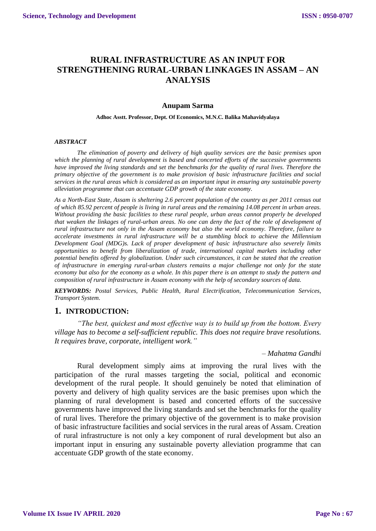# **RURAL INFRASTRUCTURE AS AN INPUT FOR STRENGTHENING RURAL-URBAN LINKAGES IN ASSAM – AN ANALYSIS**

### **Anupam Sarma**

#### **Adhoc Asstt. Professor, Dept. Of Economics, M.N.C. Balika Mahavidyalaya**

#### *ABSTRACT*

*The elimination of poverty and delivery of high quality services are the basic premises upon which the planning of rural development is based and concerted efforts of the successive governments have improved the living standards and set the benchmarks for the quality of rural lives. Therefore the primary objective of the government is to make provision of basic infrastructure facilities and social services in the rural areas which is considered as an important input in ensuring any sustainable poverty alleviation programme that can accentuate GDP growth of the state economy.*

*As a North-East State, Assam is sheltering 2.6 percent population of the country as per 2011 census out of which 85.92 percent of people is living in rural areas and the remaining 14.08 percent in urban areas. Without providing the basic facilities to these rural people, urban areas cannot properly be developed that weaken the linkages of rural-urban areas. No one can deny the fact of the role of development of rural infrastructure not only in the Assam economy but also the world economy. Therefore, failure to accelerate investments in rural infrastructure will be a stumbling block to achieve the Millennium Development Goal (MDG)s. Lack of proper development of basic infrastructure also severely limits opportunities to benefit from liberalization of trade, international capital markets including other potential benefits offered by globalization. Under such circumstances, it can be stated that the creation of infrastructure in emerging rural-urban clusters remains a major challenge not only for the state economy but also for the economy as a whole. In this paper there is an attempt to study the pattern and composition of rural infrastructure in Assam economy with the help of secondary sources of data.*

*KEYWORDS: Postal Services, Public Health, Rural Electrification, Telecommunication Services, Transport System.*

### **1. INTRODUCTION:**

*"The best, quickest and most effective way is to build up from the bottom. Every village has to become a self-sufficient republic. This does not require brave resolutions. It requires brave, corporate, intelligent work."*

#### *– Mahatma Gandhi*

Rural development simply aims at improving the rural lives with the participation of the rural masses targeting the social, political and economic development of the rural people. It should genuinely be noted that elimination of poverty and delivery of high quality services are the basic premises upon which the planning of rural development is based and concerted efforts of the successive governments have improved the living standards and set the benchmarks for the quality of rural lives. Therefore the primary objective of the government is to make provision of basic infrastructure facilities and social services in the rural areas of Assam. Creation of rural infrastructure is not only a key component of rural development but also an important input in ensuring any sustainable poverty alleviation programme that can accentuate GDP growth of the state economy.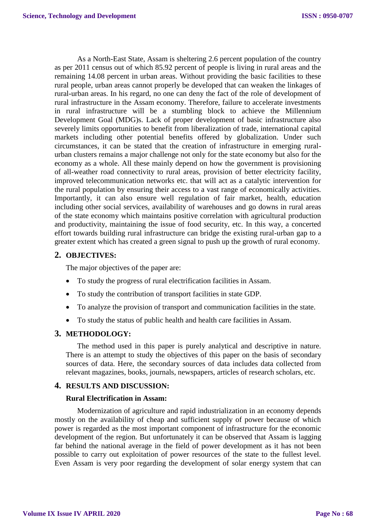As a North-East State, Assam is sheltering 2.6 percent population of the country as per 2011 census out of which 85.92 percent of people is living in rural areas and the remaining 14.08 percent in urban areas. Without providing the basic facilities to these rural people, urban areas cannot properly be developed that can weaken the linkages of rural-urban areas. In his regard, no one can deny the fact of the role of development of rural infrastructure in the Assam economy. Therefore, failure to accelerate investments in rural infrastructure will be a stumbling block to achieve the Millennium Development Goal (MDG)s. Lack of proper development of basic infrastructure also severely limits opportunities to benefit from liberalization of trade, international capital markets including other potential benefits offered by globalization. Under such circumstances, it can be stated that the creation of infrastructure in emerging ruralurban clusters remains a major challenge not only for the state economy but also for the economy as a whole. All these mainly depend on how the government is provisioning of all-weather road connectivity to rural areas, provision of better electricity facility, improved telecommunication networks etc. that will act as a catalytic intervention for the rural population by ensuring their access to a vast range of economically activities. Importantly, it can also ensure well regulation of fair market, health, education including other social services, availability of warehouses and go downs in rural areas of the state economy which maintains positive correlation with agricultural production and productivity, maintaining the issue of food security, etc. In this way, a concerted effort towards building rural infrastructure can bridge the existing rural-urban gap to a greater extent which has created a green signal to push up the growth of rural economy.

## **2. OBJECTIVES:**

The major objectives of the paper are:

- To study the progress of rural electrification facilities in Assam.
- To study the contribution of transport facilities in state GDP.
- To analyze the provision of transport and communication facilities in the state.
- To study the status of public health and health care facilities in Assam.

### **3. METHODOLOGY:**

The method used in this paper is purely analytical and descriptive in nature. There is an attempt to study the objectives of this paper on the basis of secondary sources of data. Here, the secondary sources of data includes data collected from relevant magazines, books, journals, newspapers, articles of research scholars, etc.

## **4. RESULTS AND DISCUSSION:**

### **Rural Electrification in Assam:**

Modernization of agriculture and rapid industrialization in an economy depends mostly on the availability of cheap and sufficient supply of power because of which power is regarded as the most important component of infrastructure for the economic development of the region. But unfortunately it can be observed that Assam is lagging far behind the national average in the field of power development as it has not been possible to carry out exploitation of power resources of the state to the fullest level. Even Assam is very poor regarding the development of solar energy system that can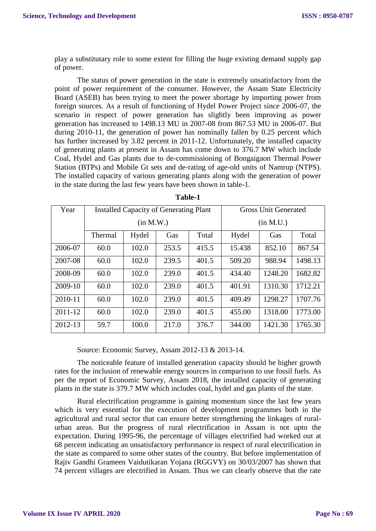play a substitutary role to some extent for filling the huge existing demand supply gap of power.

The status of power generation in the state is extremely unsatisfactory from the point of power requirement of the consumer. However, the Assam State Electricity Board (ASEB) has been trying to meet the power shortage by importing power from foreign sources. As a result of functioning of Hydel Power Project since 2006-07, the scenario in respect of power generation has slightly been improving as power generation has increased to 1498.13 MU in 2007-08 from 867.53 MU in 2006-07. But during 2010-11, the generation of power has nominally fallen by 0.25 percent which has further increased by 3.82 percent in 2011-12. Unfortunately, the installed capacity of generating plants at present in Assam has come down to 376.7 MW which include Coal, Hydel and Gas plants due to de-commissioning of Bongaigaon Thermal Power Station (BTPs) and Mobile Gt sets and de-rating of age-old units of Namrup (NTPS). The installed capacity of various generating plants along with the generation of power in the state during the last few years have been shown in table-1.

| Year    |         | <b>Installed Capacity of Generating Plant</b> |       | <b>Gross Unit Generated</b> |        |         |         |
|---------|---------|-----------------------------------------------|-------|-----------------------------|--------|---------|---------|
|         |         | (in M.W.)                                     |       | (in M.U.)                   |        |         |         |
|         | Thermal | Hydel                                         | Gas   | Hydel                       | Gas    | Total   |         |
| 2006-07 | 60.0    | 102.0                                         | 253.5 | 415.5                       | 15.438 | 852.10  | 867.54  |
| 2007-08 | 60.0    | 102.0                                         | 239.5 | 401.5                       | 509.20 | 988.94  | 1498.13 |
| 2008-09 | 60.0    | 102.0                                         | 239.0 | 401.5                       | 434.40 | 1248.20 | 1682.82 |
| 2009-10 | 60.0    | 102.0                                         | 239.0 | 401.5                       | 401.91 | 1310.30 | 1712.21 |
| 2010-11 | 60.0    | 102.0                                         | 239.0 | 401.5                       | 409.49 | 1298.27 | 1707.76 |
| 2011-12 | 60.0    | 102.0                                         | 239.0 | 401.5                       | 455.00 | 1318.00 | 1773.00 |
| 2012-13 | 59.7    | 100.0                                         | 217.0 | 376.7                       | 344.00 | 1421.30 | 1765.30 |

**Table-1**

Source: Economic Survey, Assam 2012-13 & 2013-14.

The noticeable feature of installed generation capacity should be higher growth rates for the inclusion of renewable energy sources in comparison to use fossil fuels. As per the report of Economic Survey, Assam 2018, the installed capacity of generating plants in the state is 379.7 MW which includes coal, hydel and gas plants of the state.

Rural electrification programme is gaining momentum since the last few years which is very essential for the execution of development programmes both in the agricultural and rural sector that can ensure better strengthening the linkages of ruralurban areas. But the progress of rural electrification in Assam is not upto the expectation. During 1995-96, the percentage of villages electrified had worked out at 68 percent indicating an unsatisfactory performance in respect of rural electrification in the state as compared to some other states of the country. But before implementation of Rajiv Gandhi Grameen Vaidutikaran Yojana (RGGVY) on 30/03/2007 has shown that 74 percent villages are electrified in Assam. Thus we can clearly observe that the rate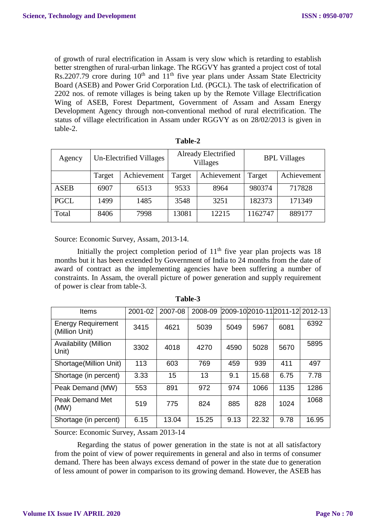of growth of rural electrification in Assam is very slow which is retarding to establish better strengthen of rural-urban linkage. The RGGVY has granted a project cost of total Rs.2207.79 crore during 10<sup>th</sup> and 11<sup>th</sup> five year plans under Assam State Electricity Board (ASEB) and Power Grid Corporation Ltd. (PGCL). The task of electrification of 2202 nos. of remote villages is being taken up by the Remote Village Electrification Wing of ASEB, Forest Department, Government of Assam and Assam Energy Development Agency through non-conventional method of rural electrification. The status of village electrification in Assam under RGGVY as on 28/02/2013 is given in table-2.

| Agency      |        | Un-Electrified Villages |        | Already Electrified<br><b>Villages</b> | <b>BPL Villages</b> |             |  |
|-------------|--------|-------------------------|--------|----------------------------------------|---------------------|-------------|--|
|             | Target | Achievement             | Target | Achievement                            | Target              | Achievement |  |
| <b>ASEB</b> | 6907   | 6513                    | 9533   | 8964                                   | 980374              | 717828      |  |
| <b>PGCL</b> | 1499   | 1485                    | 3548   | 3251                                   | 182373              | 171349      |  |
| Total       | 8406   | 7998                    | 13081  | 12215                                  | 1162747             | 889177      |  |

| able |  |
|------|--|
|------|--|

Source: Economic Survey, Assam, 2013-14.

Initially the project completion period of  $11<sup>th</sup>$  five year plan projects was 18 months but it has been extended by Government of India to 24 months from the date of award of contract as the implementing agencies have been suffering a number of constraints. In Assam, the overall picture of power generation and supply requirement of power is clear from table-3.

| <b>Items</b>                                | 2001-02 | 2007-08 | 2008-09 |      |       |      | 2009-102010-112011-12 2012-13 |
|---------------------------------------------|---------|---------|---------|------|-------|------|-------------------------------|
| <b>Energy Requirement</b><br>(Million Unit) | 3415    | 4621    | 5039    | 5049 | 5967  | 6081 | 6392                          |
| <b>Availability (Million</b><br>Unit)       | 3302    | 4018    | 4270    | 4590 | 5028  | 5670 | 5895                          |
| Shortage(Million Unit)                      | 113     | 603     | 769     | 459  | 939   | 411  | 497                           |
| Shortage (in percent)                       | 3.33    | 15      | 13      | 9.1  | 15.68 | 6.75 | 7.78                          |
| Peak Demand (MW)                            | 553     | 891     | 972     | 974  | 1066  | 1135 | 1286                          |
| Peak Demand Met<br>(MW)                     | 519     | 775     | 824     | 885  | 828   | 1024 | 1068                          |
| Shortage (in percent)                       | 6.15    | 13.04   | 15.25   | 9.13 | 22.32 | 9.78 | 16.95                         |

**Table-3**

Source: Economic Survey, Assam 2013-14

Regarding the status of power generation in the state is not at all satisfactory from the point of view of power requirements in general and also in terms of consumer demand. There has been always excess demand of power in the state due to generation of less amount of power in comparison to its growing demand. However, the ASEB has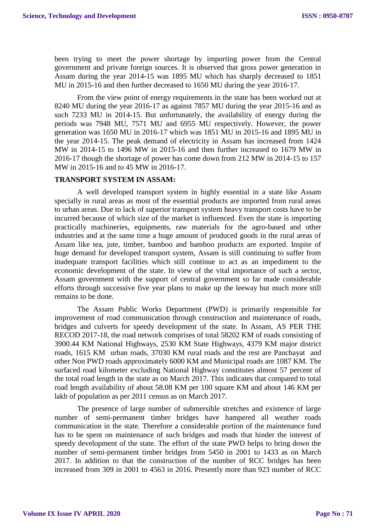been trying to meet the power shortage by importing power from the Central government and private foreign sources. It is observed that gross power generation in Assam during the year 2014-15 was 1895 MU which has sharply decreased to 1851 MU in 2015-16 and then further decreased to 1650 MU during the year 2016-17.

From the view point of energy requirements in the state has been worked out at 8240 MU during the year 2016-17 as against 7857 MU during the year 2015-16 and as such 7233 MU in 2014-15. But unfortunately, the availability of energy during the periods was 7948 MU, 7571 MU and 6955 MU respectively. However, the power generation was 1650 MU in 2016-17 which was 1851 MU in 2015-16 and 1895 MU in the year 2014-15. The peak demand of electricity in Assam has increased from 1424 MW in 2014-15 to 1496 MW in 2015-16 and then further increased to 1679 MW in 2016-17 though the shortage of power has come down from 212 MW in 2014-15 to 157 MW in 2015-16 and to 45 MW in 2016-17.

#### **TRANSPORT SYSTEM IN ASSAM:**

A well developed transport system in highly essential in a state like Assam specially in rural areas as most of the essential products are imported from rural areas to urban areas. Due to lack of superior transport system heavy transport costs have to be incurred because of which size of the market is influenced. Even the state is importing practically machineries, equipments, raw materials for the agro-based and other industries and at the same time a huge amount of produced goods in the rural areas of Assam like tea, jute, timber, bamboo and bamboo products are exported. Inspite of huge demand for developed transport system, Assam is still continuing to suffer from inadequate transport facilities which still continue to act as an impediment to the economic development of the state. In view of the vital importance of such a sector, Assam government with the support of central government so far made considerable efforts through successive five year plans to make up the leeway but much more still remains to be done.

The Assam Public Works Department (PWD) is primarily responsible for improvement of road communication through construction and maintenance of roads, bridges and culverts for speedy development of the state. In Assam, AS PER THE RECOD 2017-18, the road network comprises of total 58202 KM of roads consisting of 3900.44 KM National Highways, 2530 KM State Highways, 4379 KM major district roads, 1615 KM urban roads, 37030 KM rural roads and the rest are Panchayat and other Non PWD roads approximately 6000 KM and Municipal roads are 1087 KM. The surfaced road kilometer excluding National Highway constitutes almost 57 percent of the total road length in the state as on March 2017. This indicates that compared to total road length availability of about 58.08 KM per 100 square KM and about 146 KM per lakh of population as per 2011 census as on March 2017.

The presence of large number of submersible stretches and existence of large number of semi-permanent timber bridges have hampered all weather roads communication in the state. Therefore a considerable portion of the maintenance fund has to be spent on maintenance of such bridges and roads that hinder the interest of speedy development of the state. The effort of the state PWD helps to bring down the number of semi-permanent timber bridges from 5450 in 2001 to 1433 as on March 2017. In addition to that the construction of the number of RCC bridges has been increased from 309 in 2001 to 4563 in 2016. Presently more than 923 number of RCC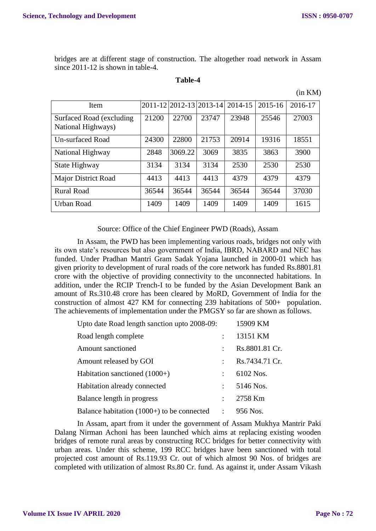bridges are at different stage of construction. The altogether road network in Assam since 2011-12 is shown in table-4.

| ını<br>ı<br>ť<br>л |  |
|--------------------|--|
|--------------------|--|

| (in KM) |
|---------|
|         |

| Item                                            |       | 2011-12 2012-13 2013-14 |       | 2014-15 | 2015-16 | 2016-17 |
|-------------------------------------------------|-------|-------------------------|-------|---------|---------|---------|
| Surfaced Road (excluding)<br>National Highways) | 21200 | 22700                   | 23747 | 23948   | 25546   | 27003   |
| Un-surfaced Road                                | 24300 | 22800                   | 21753 | 20914   | 19316   | 18551   |
| National Highway                                | 2848  | 3069.22                 | 3069  | 3835    | 3863    | 3900    |
| State Highway                                   | 3134  | 3134                    | 3134  | 2530    | 2530    | 2530    |
| <b>Major District Road</b>                      | 4413  | 4413                    | 4413  | 4379    | 4379    | 4379    |
| <b>Rural Road</b>                               | 36544 | 36544                   | 36544 | 36544   | 36544   | 37030   |
| Urban Road                                      | 1409  | 1409                    | 1409  | 1409    | 1409    | 1615    |

Source: Office of the Chief Engineer PWD (Roads), Assam

In Assam, the PWD has been implementing various roads, bridges not only with its own state's resources but also government of India, IBRD, NABARD and NEC has funded. Under Pradhan Mantri Gram Sadak Yojana launched in 2000-01 which has given priority to development of rural roads of the core network has funded Rs.8801.81 crore with the objective of providing connectivity to the unconnected habitations. In addition, under the RCIP Trench-I to be funded by the Asian Development Bank an amount of Rs.310.48 crore has been cleared by MoRD, Government of India for the construction of almost 427 KM for connecting 239 habitations of 500+ population. The achievements of implementation under the PMGSY so far are shown as follows.

| Upto date Road length sanction upto 2008-09: |                      | 15909 KM       |
|----------------------------------------------|----------------------|----------------|
| Road length complete                         |                      | 13151 KM       |
| Amount sanctioned                            | ÷                    | Rs.8801.81 Cr. |
| Amount released by GOI                       |                      | Rs.7434.71 Cr. |
| Habitation sanctioned $(1000+)$              | $\ddot{\phantom{a}}$ | 6102 Nos.      |
| Habitation already connected                 |                      | 5146 Nos.      |
| Balance length in progress                   |                      | 2758 Km        |
| Balance habitation $(1000+)$ to be connected | $\mathcal{L}$        | 956 Nos.       |
|                                              |                      |                |

In Assam, apart from it under the government of Assam Mukhya Mantrir Paki Dalang Nirman Achoni has been launched which aims at replacing existing wooden bridges of remote rural areas by constructing RCC bridges for better connectivity with urban areas. Under this scheme, 199 RCC bridges have been sanctioned with total projected cost amount of Rs.119.93 Cr. out of which almost 90 Nos. of bridges are completed with utilization of almost Rs.80 Cr. fund. As against it, under Assam Vikash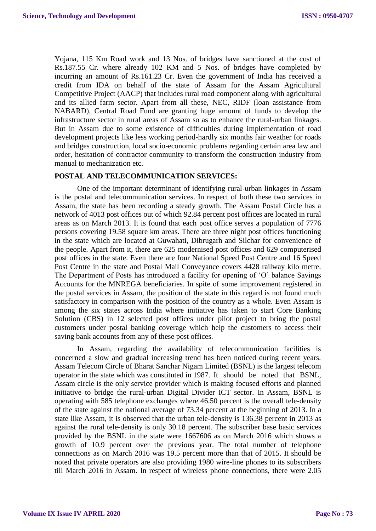Yojana, 115 Km Road work and 13 Nos. of bridges have sanctioned at the cost of Rs.187.55 Cr. where already 102 KM and 5 Nos. of bridges have completed by incurring an amount of Rs.161.23 Cr. Even the government of India has received a credit from IDA on behalf of the state of Assam for the Assam Agricultural Competitive Project (AACP) that includes rural road component along with agricultural and its allied farm sector. Apart from all these, NEC, RIDF (loan assistance from NABARD), Central Road Fund are granting huge amount of funds to develop the infrastructure sector in rural areas of Assam so as to enhance the rural-urban linkages. But in Assam due to some existence of difficulties during implementation of road development projects like less working period-hardly six months fair weather for roads and bridges construction, local socio-economic problems regarding certain area law and order, hesitation of contractor community to transform the construction industry from manual to mechanization etc.

### **POSTAL AND TELECOMMUNICATION SERVICES:**

One of the important determinant of identifying rural-urban linkages in Assam is the postal and telecommunication services. In respect of both these two services in Assam, the state has been recording a steady growth. The Assam Postal Circle has a network of 4013 post offices out of which 92.84 percent post offices are located in rural areas as on March 2013. It is found that each post office serves a population of 7776 persons covering 19.58 square km areas. There are three night post offices functioning in the state which are located at Guwahati, Dibrugarh and Silchar for convenience of the people. Apart from it, there are 625 modernised post offices and 629 computerised post offices in the state. Even there are four National Speed Post Centre and 16 Speed Post Centre in the state and Postal Mail Conveyance covers 4428 railway kilo metre. The Department of Posts has introduced a facility for opening of 'O' balance Savings Accounts for the MNREGA beneficiaries. In spite of some improvement registered in the postal services in Assam, the position of the state in this regard is not found much satisfactory in comparison with the position of the country as a whole. Even Assam is among the six states across India where initiative has taken to start Core Banking Solution (CBS) in 12 selected post offices under pilot project to bring the postal customers under postal banking coverage which help the customers to access their saving bank accounts from any of these post offices.

In Assam, regarding the availability of telecommunication facilities is concerned a slow and gradual increasing trend has been noticed during recent years. Assam Telecom Circle of Bharat Sanchar Nigam Limited (BSNL) is the largest telecom operator in the state which was constituted in 1987. It should be noted that BSNL, Assam circle is the only service provider which is making focused efforts and planned initiative to bridge the rural-urban Digital Divider ICT sector. In Assam, BSNL is operating with 585 telephone exchanges where 46.50 percent is the overall tele-density of the state against the national average of 73.34 percent at the beginning of 2013. In a state like Assam, it is observed that the urban tele-density is 136.38 percent in 2013 as against the rural tele-density is only 30.18 percent. The subscriber base basic services provided by the BSNL in the state were 1667606 as on March 2016 which shows a growth of 10.9 percent over the previous year. The total number of telephone connections as on March 2016 was 19.5 percent more than that of 2015. It should be noted that private operators are also providing 1980 wire-line phones to its subscribers till March 2016 in Assam. In respect of wireless phone connections, there were 2.05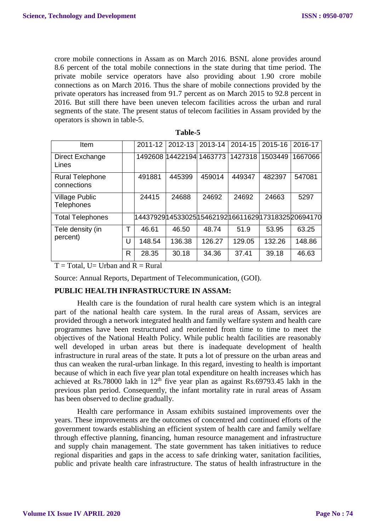crore mobile connections in Assam as on March 2016. BSNL alone provides around 8.6 percent of the total mobile connections in the state during that time period. The private mobile service operators have also providing about 1.90 crore mobile connections as on March 2016. Thus the share of mobile connections provided by the private operators has increased from 91.7 percent as on March 2015 to 92.8 percent in 2016. But still there have been uneven telecom facilities across the urban and rural segments of the state. The present status of telecom facilities in Assam provided by the operators is shown in table-5.

| Item                                  |   | 2011-12                                               | 2012-13                  | 2013-14 | 2014-15 | 2015-16 | 2016-17 |
|---------------------------------------|---|-------------------------------------------------------|--------------------------|---------|---------|---------|---------|
| Direct Exchange<br>Lines              |   |                                                       | 1492608 14422194 1463773 |         | 1427318 | 1503449 | 1667066 |
| <b>Rural Telephone</b><br>connections |   | 491881                                                | 445399                   | 459014  | 449347  | 482397  | 547081  |
| <b>Village Public</b><br>Telephones   |   | 24415                                                 | 24688                    | 24692   | 24692   | 24663   | 5297    |
| <b>Total Telephones</b>               |   | 14437929 14533025 15462192 16611629 17318325 20694170 |                          |         |         |         |         |
| Tele density (in                      | т | 46.61                                                 | 46.50                    | 48.74   | 51.9    | 53.95   | 63.25   |
| percent)                              | U | 148.54                                                | 136.38                   | 126.27  | 129.05  | 132.26  | 148.86  |
|                                       | R | 28.35                                                 | 30.18                    | 34.36   | 37.41   | 39.18   | 46.63   |

**Table-5**

 $T = Total$ , U= Urban and  $R = Rural$ 

Source: Annual Reports, Department of Telecommunication, (GOI).

#### **PUBLIC HEALTH INFRASTRUCTURE IN ASSAM:**

Health care is the foundation of rural health care system which is an integral part of the national health care system. In the rural areas of Assam, services are provided through a network integrated health and family welfare system and health care programmes have been restructured and reoriented from time to time to meet the objectives of the National Health Policy. While public health facilities are reasonably well developed in urban areas but there is inadequate development of health infrastructure in rural areas of the state. It puts a lot of pressure on the urban areas and thus can weaken the rural-urban linkage. In this regard, investing to health is important because of which in each five year plan total expenditure on health increases which has achieved at Rs.78000 lakh in  $12<sup>th</sup>$  five year plan as against Rs.69793.45 lakh in the previous plan period. Consequently, the infant mortality rate in rural areas of Assam has been observed to decline gradually.

Health care performance in Assam exhibits sustained improvements over the years. These improvements are the outcomes of concentred and continued efforts of the government towards establishing an efficient system of health care and family welfare through effective planning, financing, human resource management and infrastructure and supply chain management. The state government has taken initiatives to reduce regional disparities and gaps in the access to safe drinking water, sanitation facilities, public and private health care infrastructure. The status of health infrastructure in the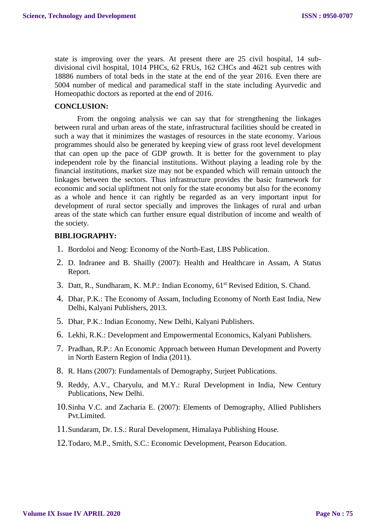state is improving over the years. At present there are 25 civil hospital, 14 subdivisional civil hospital, 1014 PHCs, 62 FRUs, 162 CHCs and 4621 sub centres with 18886 numbers of total beds in the state at the end of the year 2016. Even there are 5004 number of medical and paramedical staff in the state including Ayurvedic and Homeopathic doctors as reported at the end of 2016.

#### **CONCLUSION:**

From the ongoing analysis we can say that for strengthening the linkages between rural and urban areas of the state, infrastructural facilities should be created in such a way that it minimizes the wastages of resources in the state economy. Various programmes should also be generated by keeping view of grass root level development that can open up the pace of GDP growth. It is better for the government to play independent role by the financial institutions. Without playing a leading role by the financial institutions, market size may not be expanded which will remain untouch the linkages between the sectors. Thus infrastructure provides the basic framework for economic and social upliftment not only for the state economy but also for the economy as a whole and hence it can rightly be regarded as an very important input for development of rural sector specially and improves the linkages of rural and urban areas of the state which can further ensure equal distribution of income and wealth of the society.

#### **BIBLIOGRAPHY:**

- 1. Bordoloi and Neog: Economy of the North-East, LBS Publication.
- 2. D. Indranee and B. Shailly (2007): Health and Healthcare in Assam, A Status Report.
- 3. Datt, R., Sundharam, K. M.P.: Indian Economy, 61<sup>st</sup> Revised Edition, S. Chand.
- 4. Dhar, P.K.: The Economy of Assam, Including Economy of North East India, New Delhi, Kalyani Publishers, 2013.
- 5. Dhar, P.K.: Indian Economy, New Delhi, Kalyani Publishers.
- 6. Lekhi, R.K.: Development and Empowermental Economics, Kalyani Publishers.
- 7. Pradhan, R.P.: An Economic Approach between Human Development and Poverty in North Eastern Region of India (2011).
- 8. R. Hans (2007): Fundamentals of Demography, Surjeet Publications.
- 9. Reddy, A.V., Charyulu, and M.Y.: Rural Development in India, New Century Publications, New Delhi.
- 10.Sinha V.C. and Zacharia E. (2007): Elements of Demography, Allied Publishers Pvt.Limited.
- 11.Sundaram, Dr. I.S.: Rural Development, Himalaya Publishing House.
- 12.Todaro, M.P., Smith, S.C.: Economic Development, Pearson Education.